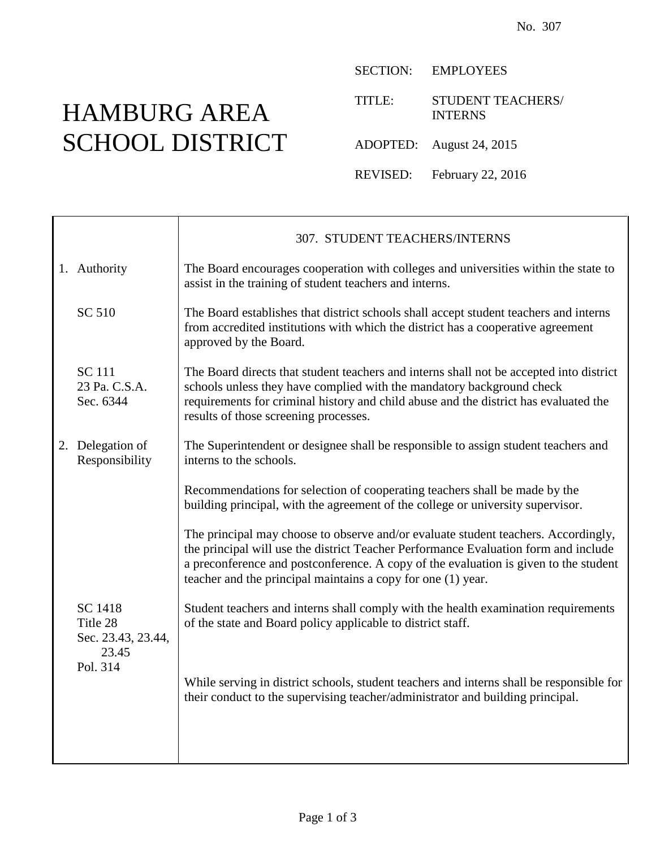## HAMBURG AREA SCHOOL DISTRICT

 $\Gamma$ 

SECTION: EMPLOYEES

TITLE: STUDENT TEACHERS/ INTERNS

ADOPTED: August 24, 2015

REVISED: February 22, 2016

|  |                                                    | 307. STUDENT TEACHERS/INTERNS                                                                                                                                                                                                                                                                                                     |
|--|----------------------------------------------------|-----------------------------------------------------------------------------------------------------------------------------------------------------------------------------------------------------------------------------------------------------------------------------------------------------------------------------------|
|  | 1. Authority                                       | The Board encourages cooperation with colleges and universities within the state to<br>assist in the training of student teachers and interns.                                                                                                                                                                                    |
|  | SC 510                                             | The Board establishes that district schools shall accept student teachers and interns<br>from accredited institutions with which the district has a cooperative agreement<br>approved by the Board.                                                                                                                               |
|  | <b>SC</b> 111<br>23 Pa. C.S.A.<br>Sec. 6344        | The Board directs that student teachers and interns shall not be accepted into district<br>schools unless they have complied with the mandatory background check<br>requirements for criminal history and child abuse and the district has evaluated the<br>results of those screening processes.                                 |
|  | 2. Delegation of<br>Responsibility                 | The Superintendent or designee shall be responsible to assign student teachers and<br>interns to the schools.                                                                                                                                                                                                                     |
|  |                                                    | Recommendations for selection of cooperating teachers shall be made by the<br>building principal, with the agreement of the college or university supervisor.                                                                                                                                                                     |
|  |                                                    | The principal may choose to observe and/or evaluate student teachers. Accordingly,<br>the principal will use the district Teacher Performance Evaluation form and include<br>a preconference and postconference. A copy of the evaluation is given to the student<br>teacher and the principal maintains a copy for one (1) year. |
|  | SC 1418<br>Title 28<br>Sec. 23.43, 23.44,<br>23.45 | Student teachers and interns shall comply with the health examination requirements<br>of the state and Board policy applicable to district staff.                                                                                                                                                                                 |
|  | Pol. 314                                           | While serving in district schools, student teachers and interns shall be responsible for<br>their conduct to the supervising teacher/administrator and building principal.                                                                                                                                                        |
|  |                                                    |                                                                                                                                                                                                                                                                                                                                   |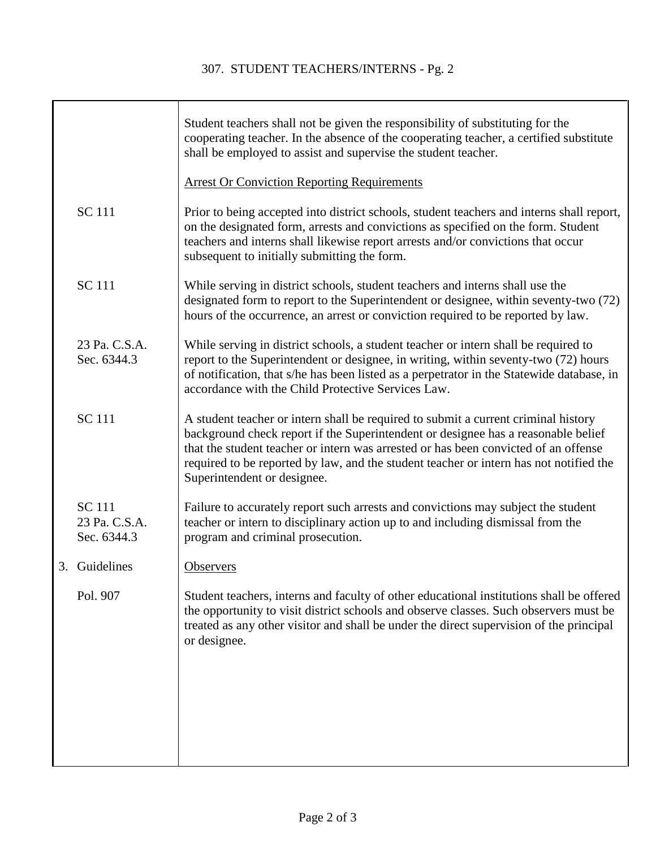|                                               | Student teachers shall not be given the responsibility of substituting for the<br>cooperating teacher. In the absence of the cooperating teacher, a certified substitute<br>shall be employed to assist and supervise the student teacher.                                                                                                                                              |
|-----------------------------------------------|-----------------------------------------------------------------------------------------------------------------------------------------------------------------------------------------------------------------------------------------------------------------------------------------------------------------------------------------------------------------------------------------|
|                                               | <b>Arrest Or Conviction Reporting Requirements</b>                                                                                                                                                                                                                                                                                                                                      |
| <b>SC 111</b>                                 | Prior to being accepted into district schools, student teachers and interns shall report,<br>on the designated form, arrests and convictions as specified on the form. Student<br>teachers and interns shall likewise report arrests and/or convictions that occur<br>subsequent to initially submitting the form.                                                                      |
| <b>SC</b> 111                                 | While serving in district schools, student teachers and interns shall use the<br>designated form to report to the Superintendent or designee, within seventy-two (72)<br>hours of the occurrence, an arrest or conviction required to be reported by law.                                                                                                                               |
| 23 Pa. C.S.A.<br>Sec. 6344.3                  | While serving in district schools, a student teacher or intern shall be required to<br>report to the Superintendent or designee, in writing, within seventy-two (72) hours<br>of notification, that s/he has been listed as a perpetrator in the Statewide database, in<br>accordance with the Child Protective Services Law.                                                           |
| <b>SC</b> 111                                 | A student teacher or intern shall be required to submit a current criminal history<br>background check report if the Superintendent or designee has a reasonable belief<br>that the student teacher or intern was arrested or has been convicted of an offense<br>required to be reported by law, and the student teacher or intern has not notified the<br>Superintendent or designee. |
| <b>SC</b> 111<br>23 Pa. C.S.A.<br>Sec. 6344.3 | Failure to accurately report such arrests and convictions may subject the student<br>teacher or intern to disciplinary action up to and including dismissal from the<br>program and criminal prosecution.                                                                                                                                                                               |
| 3. Guidelines                                 | Observers                                                                                                                                                                                                                                                                                                                                                                               |
| Pol. 907                                      | Student teachers, interns and faculty of other educational institutions shall be offered<br>the opportunity to visit district schools and observe classes. Such observers must be<br>treated as any other visitor and shall be under the direct supervision of the principal<br>or designee.                                                                                            |
|                                               |                                                                                                                                                                                                                                                                                                                                                                                         |